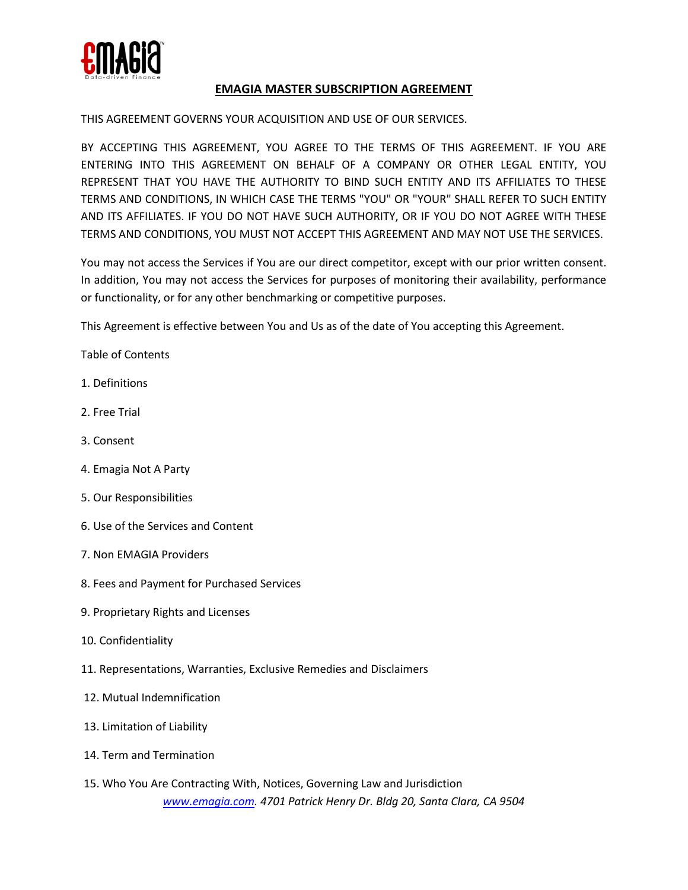

# **EMAGIA MASTER SUBSCRIPTION AGREEMENT**

### THIS AGREEMENT GOVERNS YOUR ACQUISITION AND USE OF OUR SERVICES.

BY ACCEPTING THIS AGREEMENT, YOU AGREE TO THE TERMS OF THIS AGREEMENT. IF YOU ARE ENTERING INTO THIS AGREEMENT ON BEHALF OF A COMPANY OR OTHER LEGAL ENTITY, YOU REPRESENT THAT YOU HAVE THE AUTHORITY TO BIND SUCH ENTITY AND ITS AFFILIATES TO THESE TERMS AND CONDITIONS, IN WHICH CASE THE TERMS "YOU" OR "YOUR" SHALL REFER TO SUCH ENTITY AND ITS AFFILIATES. IF YOU DO NOT HAVE SUCH AUTHORITY, OR IF YOU DO NOT AGREE WITH THESE TERMS AND CONDITIONS, YOU MUST NOT ACCEPT THIS AGREEMENT AND MAY NOT USE THE SERVICES.

You may not access the Services if You are our direct competitor, except with our prior written consent. In addition, You may not access the Services for purposes of monitoring their availability, performance or functionality, or for any other benchmarking or competitive purposes.

This Agreement is effective between You and Us as of the date of You accepting this Agreement.

Table of Contents

- 1. Definitions
- 2. Free Trial
- 3. Consent
- 4. Emagia Not A Party
- 5. Our Responsibilities
- 6. Use of the Services and Content
- 7. Non EMAGIA Providers
- 8. Fees and Payment for Purchased Services
- 9. Proprietary Rights and Licenses
- 10. Confidentiality
- 11. Representations, Warranties, Exclusive Remedies and Disclaimers
- 12. Mutual Indemnification
- 13. Limitation of Liability
- 14. Term and Termination
- *www.emagia.com. 4701 Patrick Henry Dr. Bldg 20, Santa Clara, CA 9504* 15. Who You Are Contracting With, Notices, Governing Law and Jurisdiction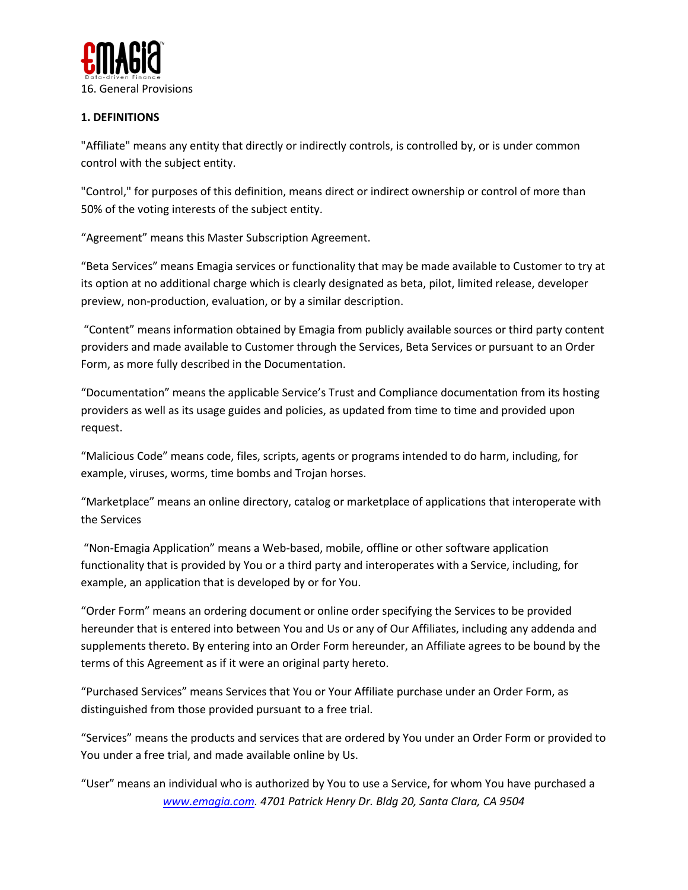

# **1. DEFINITIONS**

"Affiliate" means any entity that directly or indirectly controls, is controlled by, or is under common control with the subject entity.

"Control," for purposes of this definition, means direct or indirect ownership or control of more than 50% of the voting interests of the subject entity.

"Agreement" means this Master Subscription Agreement.

"Beta Services" means Emagia services or functionality that may be made available to Customer to try at its option at no additional charge which is clearly designated as beta, pilot, limited release, developer preview, non-production, evaluation, or by a similar description.

"Content" means information obtained by Emagia from publicly available sources or third party content providers and made available to Customer through the Services, Beta Services or pursuant to an Order Form, as more fully described in the Documentation.

"Documentation" means the applicable Service's Trust and Compliance documentation from its hosting providers as well as its usage guides and policies, as updated from time to time and provided upon request.

"Malicious Code" means code, files, scripts, agents or programs intended to do harm, including, for example, viruses, worms, time bombs and Trojan horses.

"Marketplace" means an online directory, catalog or marketplace of applications that interoperate with the Services

"Non-Emagia Application" means a Web-based, mobile, offline or other software application functionality that is provided by You or a third party and interoperates with a Service, including, for example, an application that is developed by or for You.

"Order Form" means an ordering document or online order specifying the Services to be provided hereunder that is entered into between You and Us or any of Our Affiliates, including any addenda and supplements thereto. By entering into an Order Form hereunder, an Affiliate agrees to be bound by the terms of this Agreement as if it were an original party hereto.

"Purchased Services" means Services that You or Your Affiliate purchase under an Order Form, as distinguished from those provided pursuant to a free trial.

"Services" means the products and services that are ordered by You under an Order Form or provided to You under a free trial, and made available online by Us.

*www.emagia.com. 4701 Patrick Henry Dr. Bldg 20, Santa Clara, CA 9504* "User" means an individual who is authorized by You to use a Service, for whom You have purchased a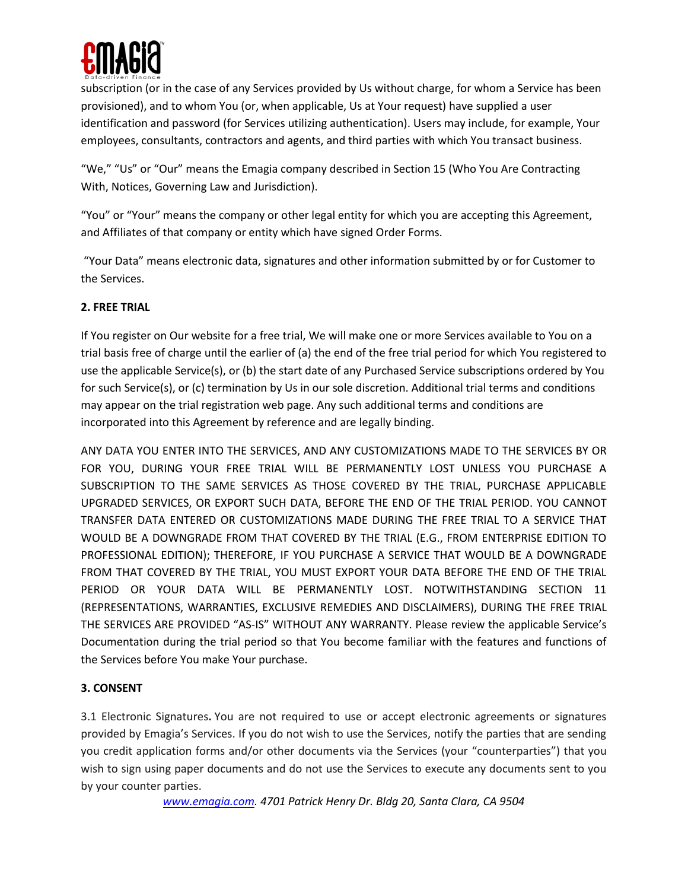

subscription (or in the case of any Services provided by Us without charge, for whom a Service has been provisioned), and to whom You (or, when applicable, Us at Your request) have supplied a user identification and password (for Services utilizing authentication). Users may include, for example, Your employees, consultants, contractors and agents, and third parties with which You transact business.

"We," "Us" or "Our" means the Emagia company described in Section 15 (Who You Are Contracting With, Notices, Governing Law and Jurisdiction).

"You" or "Your" means the company or other legal entity for which you are accepting this Agreement, and Affiliates of that company or entity which have signed Order Forms.

"Your Data" means electronic data, signatures and other information submitted by or for Customer to the Services.

# **2. FREE TRIAL**

If You register on Our website for a free trial, We will make one or more Services available to You on a trial basis free of charge until the earlier of (a) the end of the free trial period for which You registered to use the applicable Service(s), or (b) the start date of any Purchased Service subscriptions ordered by You for such Service(s), or (c) termination by Us in our sole discretion. Additional trial terms and conditions may appear on the trial registration web page. Any such additional terms and conditions are incorporated into this Agreement by reference and are legally binding.

ANY DATA YOU ENTER INTO THE SERVICES, AND ANY CUSTOMIZATIONS MADE TO THE SERVICES BY OR FOR YOU, DURING YOUR FREE TRIAL WILL BE PERMANENTLY LOST UNLESS YOU PURCHASE A SUBSCRIPTION TO THE SAME SERVICES AS THOSE COVERED BY THE TRIAL, PURCHASE APPLICABLE UPGRADED SERVICES, OR EXPORT SUCH DATA, BEFORE THE END OF THE TRIAL PERIOD. YOU CANNOT TRANSFER DATA ENTERED OR CUSTOMIZATIONS MADE DURING THE FREE TRIAL TO A SERVICE THAT WOULD BE A DOWNGRADE FROM THAT COVERED BY THE TRIAL (E.G., FROM ENTERPRISE EDITION TO PROFESSIONAL EDITION); THEREFORE, IF YOU PURCHASE A SERVICE THAT WOULD BE A DOWNGRADE FROM THAT COVERED BY THE TRIAL, YOU MUST EXPORT YOUR DATA BEFORE THE END OF THE TRIAL PERIOD OR YOUR DATA WILL BE PERMANENTLY LOST. NOTWITHSTANDING SECTION 11 (REPRESENTATIONS, WARRANTIES, EXCLUSIVE REMEDIES AND DISCLAIMERS), DURING THE FREE TRIAL THE SERVICES ARE PROVIDED "AS-IS" WITHOUT ANY WARRANTY. Please review the applicable Service's Documentation during the trial period so that You become familiar with the features and functions of the Services before You make Your purchase.

# **3. CONSENT**

3.1 Electronic Signatures**.** You are not required to use or accept electronic agreements or signatures provided by Emagia's Services. If you do not wish to use the Services, notify the parties that are sending you credit application forms and/or other documents via the Services (your "counterparties") that you wish to sign using paper documents and do not use the Services to execute any documents sent to you by your counter parties.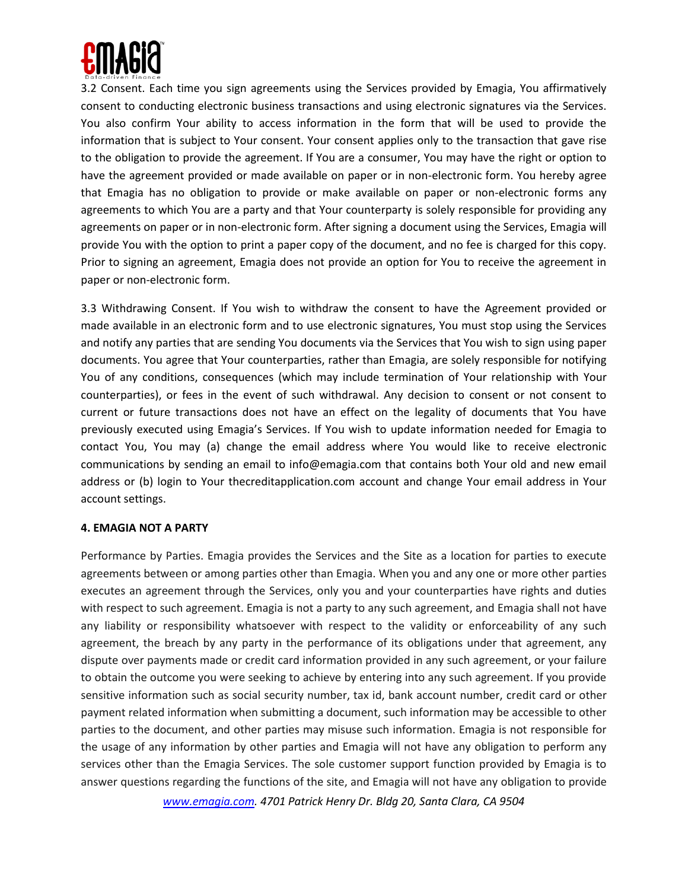

3.2 Consent. Each time you sign agreements using the Services provided by Emagia, You affirmatively consent to conducting electronic business transactions and using electronic signatures via the Services. You also confirm Your ability to access information in the form that will be used to provide the information that is subject to Your consent. Your consent applies only to the transaction that gave rise to the obligation to provide the agreement. If You are a consumer, You may have the right or option to have the agreement provided or made available on paper or in non-electronic form. You hereby agree that Emagia has no obligation to provide or make available on paper or non-electronic forms any agreements to which You are a party and that Your counterparty is solely responsible for providing any agreements on paper or in non-electronic form. After signing a document using the Services, Emagia will provide You with the option to print a paper copy of the document, and no fee is charged for this copy. Prior to signing an agreement, Emagia does not provide an option for You to receive the agreement in paper or non-electronic form.

3.3 Withdrawing Consent. If You wish to withdraw the consent to have the Agreement provided or made available in an electronic form and to use electronic signatures, You must stop using the Services and notify any parties that are sending You documents via the Services that You wish to sign using paper documents. You agree that Your counterparties, rather than Emagia, are solely responsible for notifying You of any conditions, consequences (which may include termination of Your relationship with Your counterparties), or fees in the event of such withdrawal. Any decision to consent or not consent to current or future transactions does not have an effect on the legality of documents that You have previously executed using Emagia's Services. If You wish to update information needed for Emagia to contact You, You may (a) change the email address where You would like to receive electronic communications by sending an email to info@emagia.com that contains both Your old and new email address or (b) login to Your thecreditapplication.com account and change Your email address in Your account settings.

#### **4. EMAGIA NOT A PARTY**

Performance by Parties. Emagia provides the Services and the Site as a location for parties to execute agreements between or among parties other than Emagia. When you and any one or more other parties executes an agreement through the Services, only you and your counterparties have rights and duties with respect to such agreement. Emagia is not a party to any such agreement, and Emagia shall not have any liability or responsibility whatsoever with respect to the validity or enforceability of any such agreement, the breach by any party in the performance of its obligations under that agreement, any dispute over payments made or credit card information provided in any such agreement, or your failure to obtain the outcome you were seeking to achieve by entering into any such agreement. If you provide sensitive information such as social security number, tax id, bank account number, credit card or other payment related information when submitting a document, such information may be accessible to other parties to the document, and other parties may misuse such information. Emagia is not responsible for the usage of any information by other parties and Emagia will not have any obligation to perform any services other than the Emagia Services. The sole customer support function provided by Emagia is to answer questions regarding the functions of the site, and Emagia will not have any obligation to provide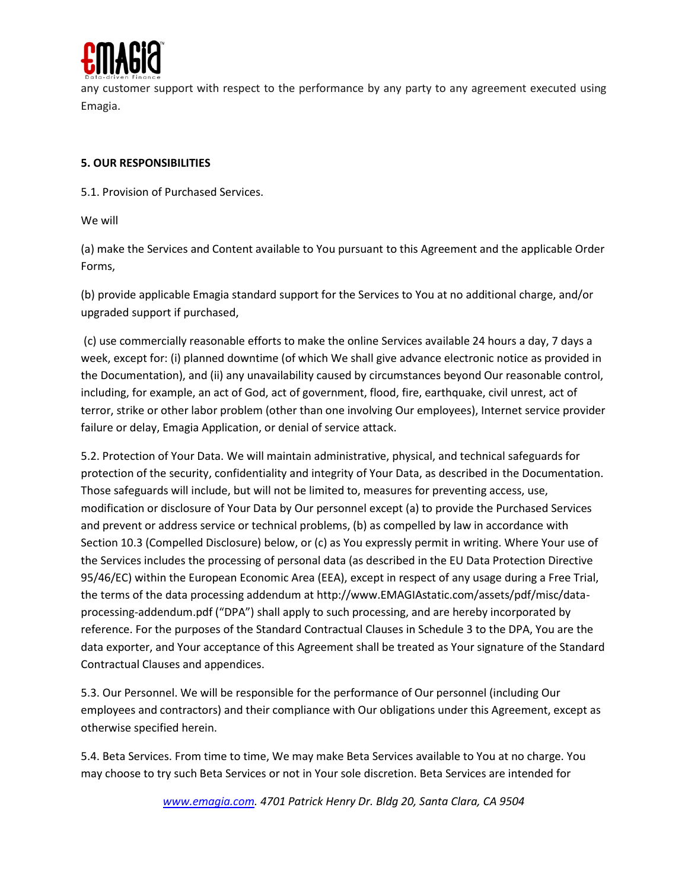

any customer support with respect to the performance by any party to any agreement executed using Emagia.

## **5. OUR RESPONSIBILITIES**

5.1. Provision of Purchased Services.

We will

(a) make the Services and Content available to You pursuant to this Agreement and the applicable Order Forms,

(b) provide applicable Emagia standard support for the Services to You at no additional charge, and/or upgraded support if purchased,

(c) use commercially reasonable efforts to make the online Services available 24 hours a day, 7 days a week, except for: (i) planned downtime (of which We shall give advance electronic notice as provided in the Documentation), and (ii) any unavailability caused by circumstances beyond Our reasonable control, including, for example, an act of God, act of government, flood, fire, earthquake, civil unrest, act of terror, strike or other labor problem (other than one involving Our employees), Internet service provider failure or delay, Emagia Application, or denial of service attack.

5.2. Protection of Your Data. We will maintain administrative, physical, and technical safeguards for protection of the security, confidentiality and integrity of Your Data, as described in the Documentation. Those safeguards will include, but will not be limited to, measures for preventing access, use, modification or disclosure of Your Data by Our personnel except (a) to provide the Purchased Services and prevent or address service or technical problems, (b) as compelled by law in accordance with Section 10.3 (Compelled Disclosure) below, or (c) as You expressly permit in writing. Where Your use of the Services includes the processing of personal data (as described in the EU Data Protection Directive 95/46/EC) within the European Economic Area (EEA), except in respect of any usage during a Free Trial, the terms of the data processing addendum at http://www.EMAGIAstatic.com/assets/pdf/misc/dataprocessing-addendum.pdf ("DPA") shall apply to such processing, and are hereby incorporated by reference. For the purposes of the Standard Contractual Clauses in Schedule 3 to the DPA, You are the data exporter, and Your acceptance of this Agreement shall be treated as Your signature of the Standard Contractual Clauses and appendices.

5.3. Our Personnel. We will be responsible for the performance of Our personnel (including Our employees and contractors) and their compliance with Our obligations under this Agreement, except as otherwise specified herein.

5.4. Beta Services. From time to time, We may make Beta Services available to You at no charge. You may choose to try such Beta Services or not in Your sole discretion. Beta Services are intended for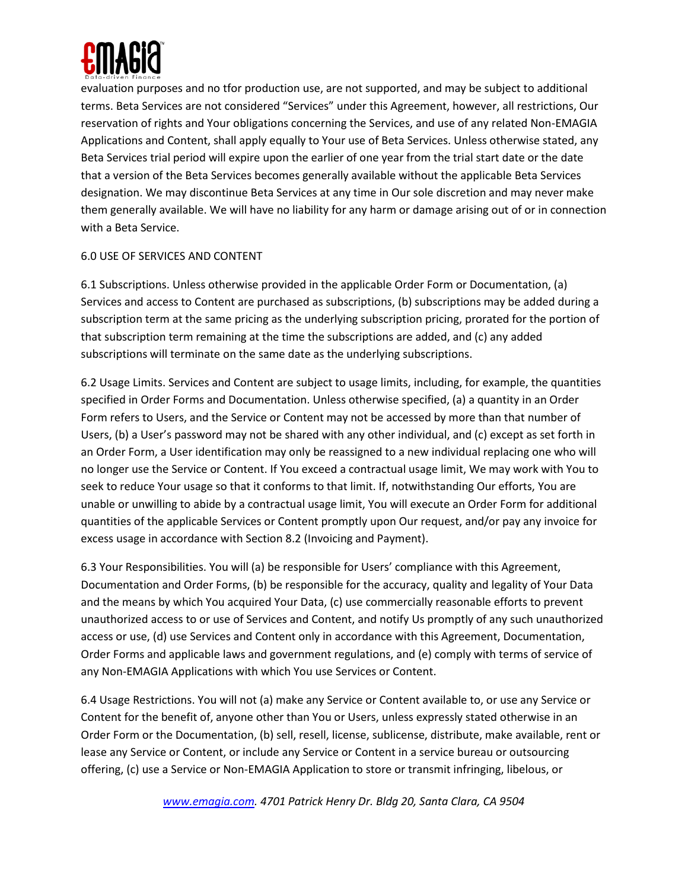

evaluation purposes and no tfor production use, are not supported, and may be subject to additional terms. Beta Services are not considered "Services" under this Agreement, however, all restrictions, Our reservation of rights and Your obligations concerning the Services, and use of any related Non-EMAGIA Applications and Content, shall apply equally to Your use of Beta Services. Unless otherwise stated, any Beta Services trial period will expire upon the earlier of one year from the trial start date or the date that a version of the Beta Services becomes generally available without the applicable Beta Services designation. We may discontinue Beta Services at any time in Our sole discretion and may never make them generally available. We will have no liability for any harm or damage arising out of or in connection with a Beta Service.

# 6.0 USE OF SERVICES AND CONTENT

6.1 Subscriptions. Unless otherwise provided in the applicable Order Form or Documentation, (a) Services and access to Content are purchased as subscriptions, (b) subscriptions may be added during a subscription term at the same pricing as the underlying subscription pricing, prorated for the portion of that subscription term remaining at the time the subscriptions are added, and (c) any added subscriptions will terminate on the same date as the underlying subscriptions.

6.2 Usage Limits. Services and Content are subject to usage limits, including, for example, the quantities specified in Order Forms and Documentation. Unless otherwise specified, (a) a quantity in an Order Form refers to Users, and the Service or Content may not be accessed by more than that number of Users, (b) a User's password may not be shared with any other individual, and (c) except as set forth in an Order Form, a User identification may only be reassigned to a new individual replacing one who will no longer use the Service or Content. If You exceed a contractual usage limit, We may work with You to seek to reduce Your usage so that it conforms to that limit. If, notwithstanding Our efforts, You are unable or unwilling to abide by a contractual usage limit, You will execute an Order Form for additional quantities of the applicable Services or Content promptly upon Our request, and/or pay any invoice for excess usage in accordance with Section 8.2 (Invoicing and Payment).

6.3 Your Responsibilities. You will (a) be responsible for Users' compliance with this Agreement, Documentation and Order Forms, (b) be responsible for the accuracy, quality and legality of Your Data and the means by which You acquired Your Data, (c) use commercially reasonable efforts to prevent unauthorized access to or use of Services and Content, and notify Us promptly of any such unauthorized access or use, (d) use Services and Content only in accordance with this Agreement, Documentation, Order Forms and applicable laws and government regulations, and (e) comply with terms of service of any Non-EMAGIA Applications with which You use Services or Content.

6.4 Usage Restrictions. You will not (a) make any Service or Content available to, or use any Service or Content for the benefit of, anyone other than You or Users, unless expressly stated otherwise in an Order Form or the Documentation, (b) sell, resell, license, sublicense, distribute, make available, rent or lease any Service or Content, or include any Service or Content in a service bureau or outsourcing offering, (c) use a Service or Non-EMAGIA Application to store or transmit infringing, libelous, or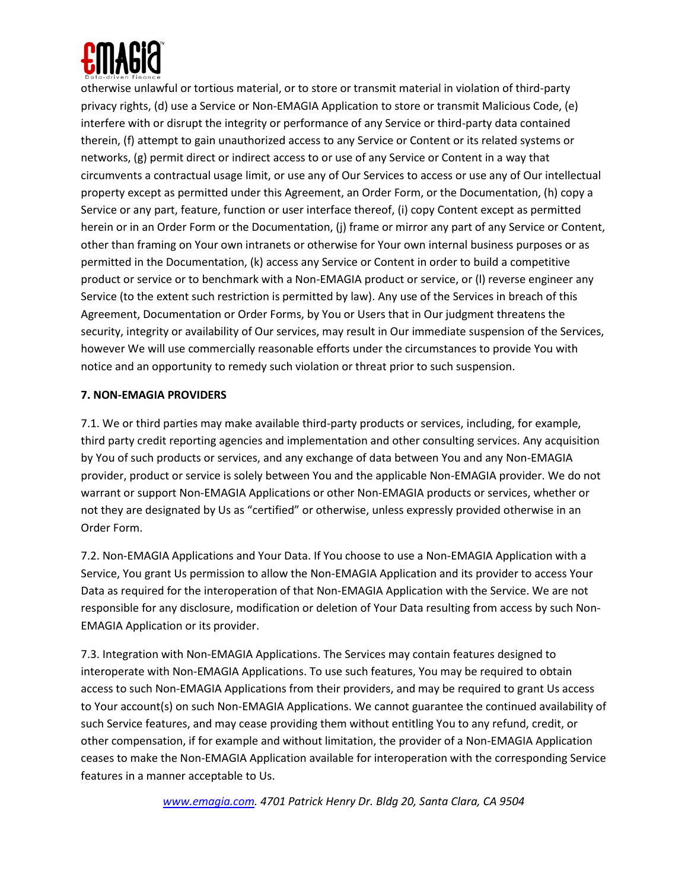

otherwise unlawful or tortious material, or to store or transmit material in violation of third-party privacy rights, (d) use a Service or Non-EMAGIA Application to store or transmit Malicious Code, (e) interfere with or disrupt the integrity or performance of any Service or third-party data contained therein, (f) attempt to gain unauthorized access to any Service or Content or its related systems or networks, (g) permit direct or indirect access to or use of any Service or Content in a way that circumvents a contractual usage limit, or use any of Our Services to access or use any of Our intellectual property except as permitted under this Agreement, an Order Form, or the Documentation, (h) copy a Service or any part, feature, function or user interface thereof, (i) copy Content except as permitted herein or in an Order Form or the Documentation, (j) frame or mirror any part of any Service or Content, other than framing on Your own intranets or otherwise for Your own internal business purposes or as permitted in the Documentation, (k) access any Service or Content in order to build a competitive product or service or to benchmark with a Non-EMAGIA product or service, or (l) reverse engineer any Service (to the extent such restriction is permitted by law). Any use of the Services in breach of this Agreement, Documentation or Order Forms, by You or Users that in Our judgment threatens the security, integrity or availability of Our services, may result in Our immediate suspension of the Services, however We will use commercially reasonable efforts under the circumstances to provide You with notice and an opportunity to remedy such violation or threat prior to such suspension.

# **7. NON-EMAGIA PROVIDERS**

7.1. We or third parties may make available third-party products or services, including, for example, third party credit reporting agencies and implementation and other consulting services. Any acquisition by You of such products or services, and any exchange of data between You and any Non-EMAGIA provider, product or service is solely between You and the applicable Non-EMAGIA provider. We do not warrant or support Non-EMAGIA Applications or other Non-EMAGIA products or services, whether or not they are designated by Us as "certified" or otherwise, unless expressly provided otherwise in an Order Form.

7.2. Non-EMAGIA Applications and Your Data. If You choose to use a Non-EMAGIA Application with a Service, You grant Us permission to allow the Non-EMAGIA Application and its provider to access Your Data as required for the interoperation of that Non-EMAGIA Application with the Service. We are not responsible for any disclosure, modification or deletion of Your Data resulting from access by such Non-EMAGIA Application or its provider.

7.3. Integration with Non-EMAGIA Applications. The Services may contain features designed to interoperate with Non-EMAGIA Applications. To use such features, You may be required to obtain access to such Non-EMAGIA Applications from their providers, and may be required to grant Us access to Your account(s) on such Non-EMAGIA Applications. We cannot guarantee the continued availability of such Service features, and may cease providing them without entitling You to any refund, credit, or other compensation, if for example and without limitation, the provider of a Non-EMAGIA Application ceases to make the Non-EMAGIA Application available for interoperation with the corresponding Service features in a manner acceptable to Us.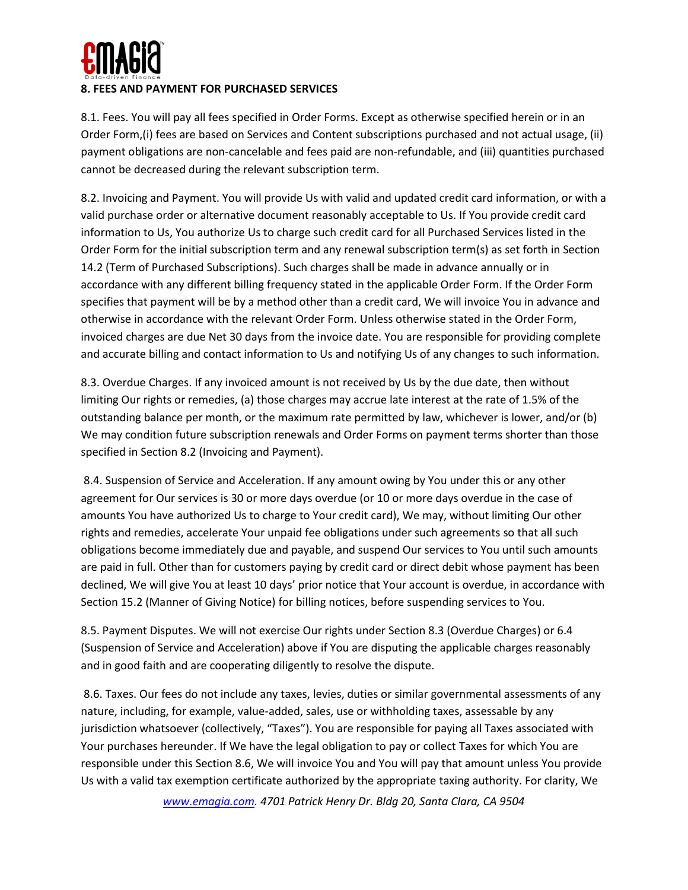

8.1. Fees. You will pay all fees specified in Order Forms. Except as otherwise specified herein or in an Order Form,(i) fees are based on Services and Content subscriptions purchased and not actual usage, (ii) payment obligations are non-cancelable and fees paid are non-refundable, and (iii) quantities purchased cannot be decreased during the relevant subscription term.

8.2. Invoicing and Payment. You will provide Us with valid and updated credit card information, or with a valid purchase order or alternative document reasonably acceptable to Us. If You provide credit card information to Us, You authorize Us to charge such credit card for all Purchased Services listed in the Order Form for the initial subscription term and any renewal subscription term(s) as set forth in Section 14.2 (Term of Purchased Subscriptions). Such charges shall be made in advance annually or in accordance with any different billing frequency stated in the applicable Order Form. If the Order Form specifies that payment will be by a method other than a credit card, We will invoice You in advance and otherwise in accordance with the relevant Order Form. Unless otherwise stated in the Order Form, invoiced charges are due Net 30 days from the invoice date. You are responsible for providing complete and accurate billing and contact information to Us and notifying Us of any changes to such information.

8.3. Overdue Charges. If any invoiced amount is not received by Us by the due date, then without limiting Our rights or remedies, (a) those charges may accrue late interest at the rate of 1.5% of the outstanding balance per month, or the maximum rate permitted by law, whichever is lower, and/or (b) We may condition future subscription renewals and Order Forms on payment terms shorter than those specified in Section 8.2 (Invoicing and Payment).

8.4. Suspension of Service and Acceleration. If any amount owing by You under this or any other agreement for Our services is 30 or more days overdue (or 10 or more days overdue in the case of amounts You have authorized Us to charge to Your credit card), We may, without limiting Our other rights and remedies, accelerate Your unpaid fee obligations under such agreements so that all such obligations become immediately due and payable, and suspend Our services to You until such amounts are paid in full. Other than for customers paying by credit card or direct debit whose payment has been declined, We will give You at least 10 days' prior notice that Your account is overdue, in accordance with Section 15.2 (Manner of Giving Notice) for billing notices, before suspending services to You.

8.5. Payment Disputes. We will not exercise Our rights under Section 8.3 (Overdue Charges) or 6.4 (Suspension of Service and Acceleration) above if You are disputing the applicable charges reasonably and in good faith and are cooperating diligently to resolve the dispute.

8.6. Taxes. Our fees do not include any taxes, levies, duties or similar governmental assessments of any nature, including, for example, value-added, sales, use or withholding taxes, assessable by any jurisdiction whatsoever (collectively, "Taxes"). You are responsible for paying all Taxes associated with Your purchases hereunder. If We have the legal obligation to pay or collect Taxes for which You are responsible under this Section 8.6, We will invoice You and You will pay that amount unless You provide Us with a valid tax exemption certificate authorized by the appropriate taxing authority. For clarity, We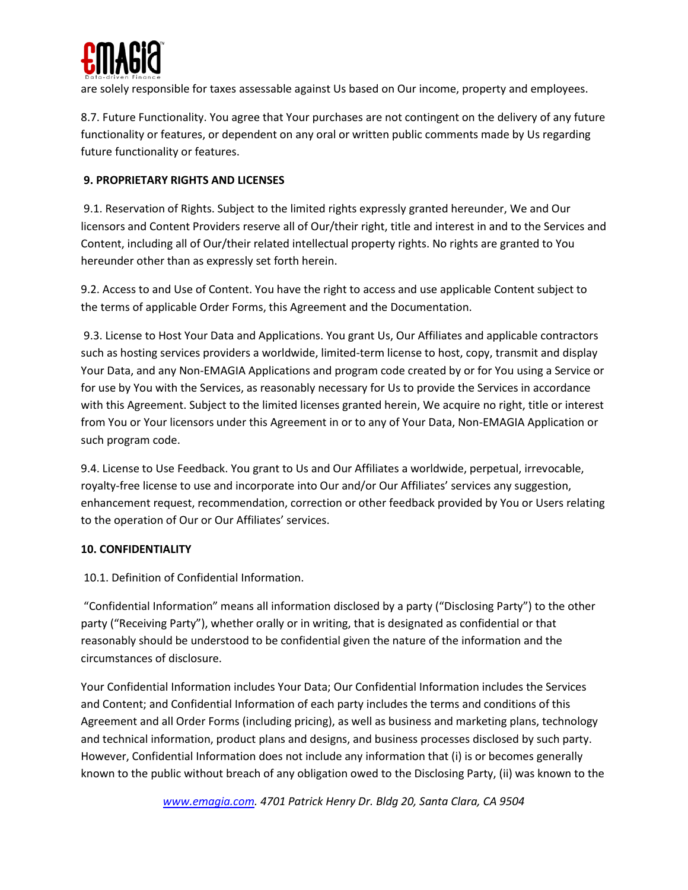

are solely responsible for taxes assessable against Us based on Our income, property and employees.

8.7. Future Functionality. You agree that Your purchases are not contingent on the delivery of any future functionality or features, or dependent on any oral or written public comments made by Us regarding future functionality or features.

### **9. PROPRIETARY RIGHTS AND LICENSES**

9.1. Reservation of Rights. Subject to the limited rights expressly granted hereunder, We and Our licensors and Content Providers reserve all of Our/their right, title and interest in and to the Services and Content, including all of Our/their related intellectual property rights. No rights are granted to You hereunder other than as expressly set forth herein.

9.2. Access to and Use of Content. You have the right to access and use applicable Content subject to the terms of applicable Order Forms, this Agreement and the Documentation.

9.3. License to Host Your Data and Applications. You grant Us, Our Affiliates and applicable contractors such as hosting services providers a worldwide, limited-term license to host, copy, transmit and display Your Data, and any Non-EMAGIA Applications and program code created by or for You using a Service or for use by You with the Services, as reasonably necessary for Us to provide the Services in accordance with this Agreement. Subject to the limited licenses granted herein, We acquire no right, title or interest from You or Your licensors under this Agreement in or to any of Your Data, Non-EMAGIA Application or such program code.

9.4. License to Use Feedback. You grant to Us and Our Affiliates a worldwide, perpetual, irrevocable, royalty-free license to use and incorporate into Our and/or Our Affiliates' services any suggestion, enhancement request, recommendation, correction or other feedback provided by You or Users relating to the operation of Our or Our Affiliates' services.

#### **10. CONFIDENTIALITY**

10.1. Definition of Confidential Information.

"Confidential Information" means all information disclosed by a party ("Disclosing Party") to the other party ("Receiving Party"), whether orally or in writing, that is designated as confidential or that reasonably should be understood to be confidential given the nature of the information and the circumstances of disclosure.

Your Confidential Information includes Your Data; Our Confidential Information includes the Services and Content; and Confidential Information of each party includes the terms and conditions of this Agreement and all Order Forms (including pricing), as well as business and marketing plans, technology and technical information, product plans and designs, and business processes disclosed by such party. However, Confidential Information does not include any information that (i) is or becomes generally known to the public without breach of any obligation owed to the Disclosing Party, (ii) was known to the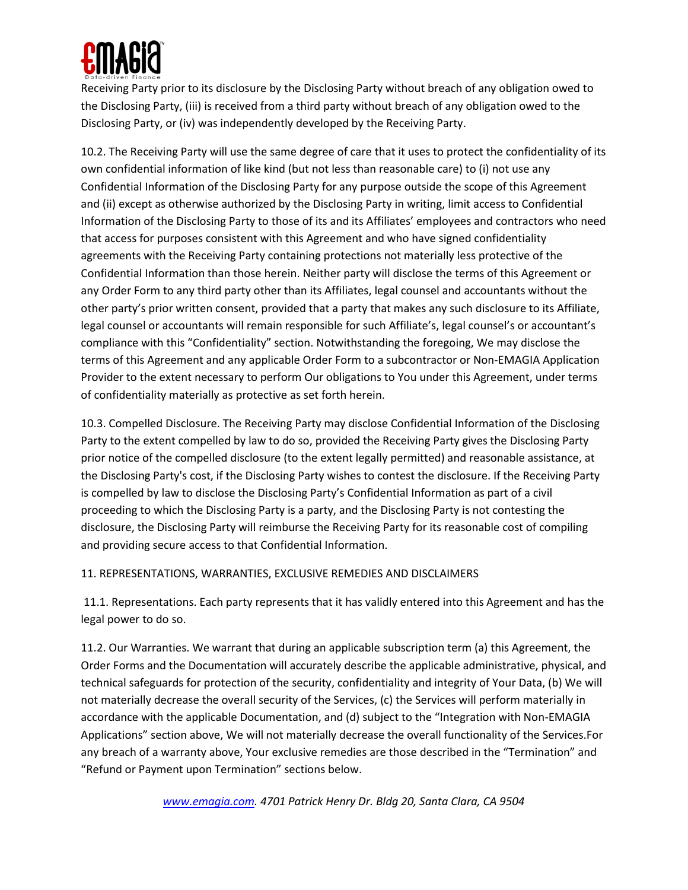

Receiving Party prior to its disclosure by the Disclosing Party without breach of any obligation owed to the Disclosing Party, (iii) is received from a third party without breach of any obligation owed to the Disclosing Party, or (iv) was independently developed by the Receiving Party.

10.2. The Receiving Party will use the same degree of care that it uses to protect the confidentiality of its own confidential information of like kind (but not less than reasonable care) to (i) not use any Confidential Information of the Disclosing Party for any purpose outside the scope of this Agreement and (ii) except as otherwise authorized by the Disclosing Party in writing, limit access to Confidential Information of the Disclosing Party to those of its and its Affiliates' employees and contractors who need that access for purposes consistent with this Agreement and who have signed confidentiality agreements with the Receiving Party containing protections not materially less protective of the Confidential Information than those herein. Neither party will disclose the terms of this Agreement or any Order Form to any third party other than its Affiliates, legal counsel and accountants without the other party's prior written consent, provided that a party that makes any such disclosure to its Affiliate, legal counsel or accountants will remain responsible for such Affiliate's, legal counsel's or accountant's compliance with this "Confidentiality" section. Notwithstanding the foregoing, We may disclose the terms of this Agreement and any applicable Order Form to a subcontractor or Non-EMAGIA Application Provider to the extent necessary to perform Our obligations to You under this Agreement, under terms of confidentiality materially as protective as set forth herein.

10.3. Compelled Disclosure. The Receiving Party may disclose Confidential Information of the Disclosing Party to the extent compelled by law to do so, provided the Receiving Party gives the Disclosing Party prior notice of the compelled disclosure (to the extent legally permitted) and reasonable assistance, at the Disclosing Party's cost, if the Disclosing Party wishes to contest the disclosure. If the Receiving Party is compelled by law to disclose the Disclosing Party's Confidential Information as part of a civil proceeding to which the Disclosing Party is a party, and the Disclosing Party is not contesting the disclosure, the Disclosing Party will reimburse the Receiving Party for its reasonable cost of compiling and providing secure access to that Confidential Information.

11. REPRESENTATIONS, WARRANTIES, EXCLUSIVE REMEDIES AND DISCLAIMERS

11.1. Representations. Each party represents that it has validly entered into this Agreement and has the legal power to do so.

11.2. Our Warranties. We warrant that during an applicable subscription term (a) this Agreement, the Order Forms and the Documentation will accurately describe the applicable administrative, physical, and technical safeguards for protection of the security, confidentiality and integrity of Your Data, (b) We will not materially decrease the overall security of the Services, (c) the Services will perform materially in accordance with the applicable Documentation, and (d) subject to the "Integration with Non-EMAGIA Applications" section above, We will not materially decrease the overall functionality of the Services.For any breach of a warranty above, Your exclusive remedies are those described in the "Termination" and "Refund or Payment upon Termination" sections below.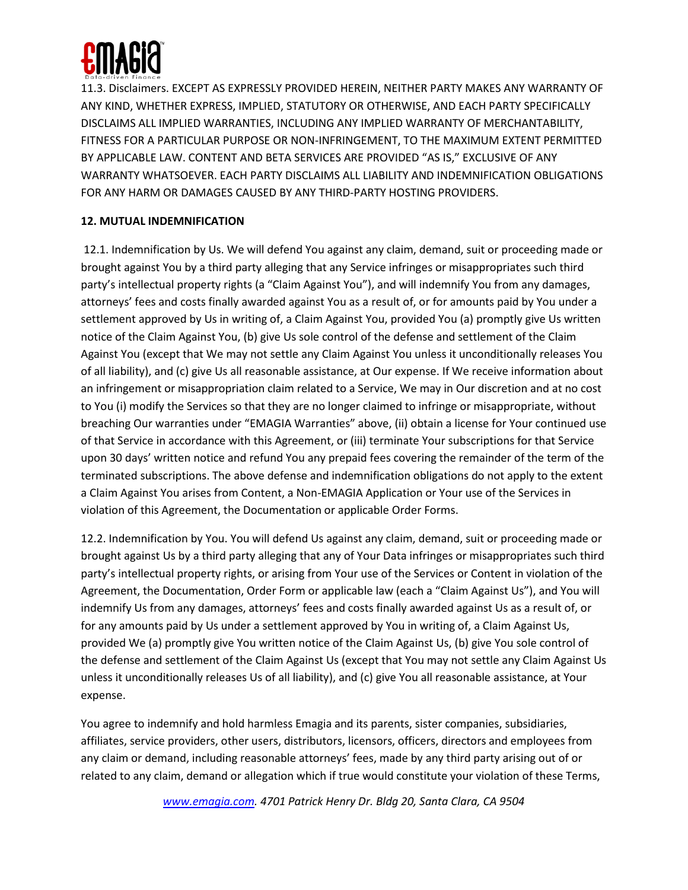

11.3. Disclaimers. EXCEPT AS EXPRESSLY PROVIDED HEREIN, NEITHER PARTY MAKES ANY WARRANTY OF ANY KIND, WHETHER EXPRESS, IMPLIED, STATUTORY OR OTHERWISE, AND EACH PARTY SPECIFICALLY DISCLAIMS ALL IMPLIED WARRANTIES, INCLUDING ANY IMPLIED WARRANTY OF MERCHANTABILITY, FITNESS FOR A PARTICULAR PURPOSE OR NON-INFRINGEMENT, TO THE MAXIMUM EXTENT PERMITTED BY APPLICABLE LAW. CONTENT AND BETA SERVICES ARE PROVIDED "AS IS," EXCLUSIVE OF ANY WARRANTY WHATSOEVER. EACH PARTY DISCLAIMS ALL LIABILITY AND INDEMNIFICATION OBLIGATIONS FOR ANY HARM OR DAMAGES CAUSED BY ANY THIRD-PARTY HOSTING PROVIDERS.

# **12. MUTUAL INDEMNIFICATION**

12.1. Indemnification by Us. We will defend You against any claim, demand, suit or proceeding made or brought against You by a third party alleging that any Service infringes or misappropriates such third party's intellectual property rights (a "Claim Against You"), and will indemnify You from any damages, attorneys' fees and costs finally awarded against You as a result of, or for amounts paid by You under a settlement approved by Us in writing of, a Claim Against You, provided You (a) promptly give Us written notice of the Claim Against You, (b) give Us sole control of the defense and settlement of the Claim Against You (except that We may not settle any Claim Against You unless it unconditionally releases You of all liability), and (c) give Us all reasonable assistance, at Our expense. If We receive information about an infringement or misappropriation claim related to a Service, We may in Our discretion and at no cost to You (i) modify the Services so that they are no longer claimed to infringe or misappropriate, without breaching Our warranties under "EMAGIA Warranties" above, (ii) obtain a license for Your continued use of that Service in accordance with this Agreement, or (iii) terminate Your subscriptions for that Service upon 30 days' written notice and refund You any prepaid fees covering the remainder of the term of the terminated subscriptions. The above defense and indemnification obligations do not apply to the extent a Claim Against You arises from Content, a Non-EMAGIA Application or Your use of the Services in violation of this Agreement, the Documentation or applicable Order Forms.

12.2. Indemnification by You. You will defend Us against any claim, demand, suit or proceeding made or brought against Us by a third party alleging that any of Your Data infringes or misappropriates such third party's intellectual property rights, or arising from Your use of the Services or Content in violation of the Agreement, the Documentation, Order Form or applicable law (each a "Claim Against Us"), and You will indemnify Us from any damages, attorneys' fees and costs finally awarded against Us as a result of, or for any amounts paid by Us under a settlement approved by You in writing of, a Claim Against Us, provided We (a) promptly give You written notice of the Claim Against Us, (b) give You sole control of the defense and settlement of the Claim Against Us (except that You may not settle any Claim Against Us unless it unconditionally releases Us of all liability), and (c) give You all reasonable assistance, at Your expense.

You agree to indemnify and hold harmless Emagia and its parents, sister companies, subsidiaries, affiliates, service providers, other users, distributors, licensors, officers, directors and employees from any claim or demand, including reasonable attorneys' fees, made by any third party arising out of or related to any claim, demand or allegation which if true would constitute your violation of these Terms,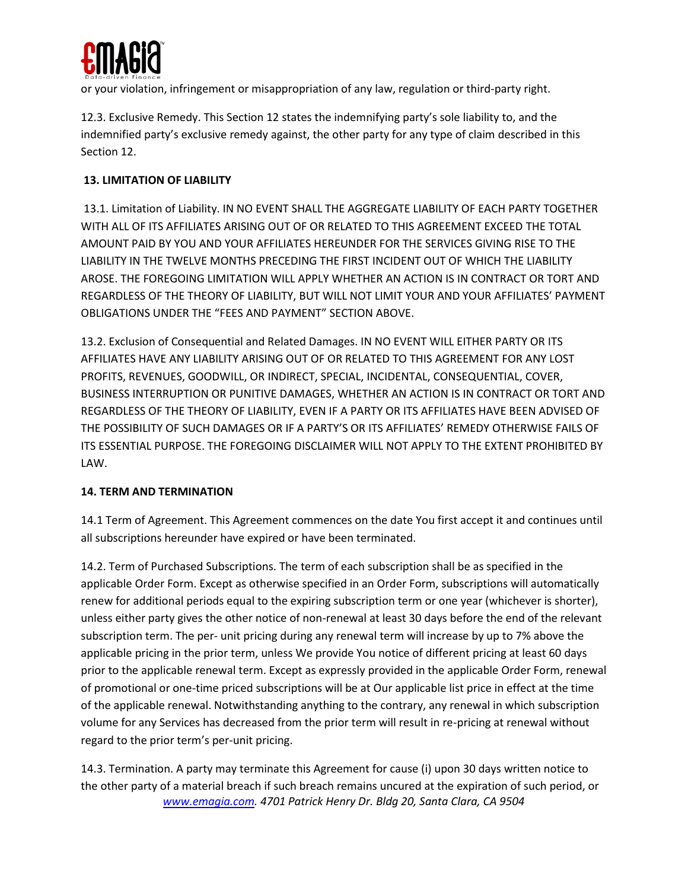

or your violation, infringement or misappropriation of any law, regulation or third-party right.

12.3. Exclusive Remedy. This Section 12 states the indemnifying party's sole liability to, and the indemnified party's exclusive remedy against, the other party for any type of claim described in this Section 12.

# **13. LIMITATION OF LIABILITY**

13.1. Limitation of Liability. IN NO EVENT SHALL THE AGGREGATE LIABILITY OF EACH PARTY TOGETHER WITH ALL OF ITS AFFILIATES ARISING OUT OF OR RELATED TO THIS AGREEMENT EXCEED THE TOTAL AMOUNT PAID BY YOU AND YOUR AFFILIATES HEREUNDER FOR THE SERVICES GIVING RISE TO THE LIABILITY IN THE TWELVE MONTHS PRECEDING THE FIRST INCIDENT OUT OF WHICH THE LIABILITY AROSE. THE FOREGOING LIMITATION WILL APPLY WHETHER AN ACTION IS IN CONTRACT OR TORT AND REGARDLESS OF THE THEORY OF LIABILITY, BUT WILL NOT LIMIT YOUR AND YOUR AFFILIATES' PAYMENT OBLIGATIONS UNDER THE "FEES AND PAYMENT" SECTION ABOVE.

13.2. Exclusion of Consequential and Related Damages. IN NO EVENT WILL EITHER PARTY OR ITS AFFILIATES HAVE ANY LIABILITY ARISING OUT OF OR RELATED TO THIS AGREEMENT FOR ANY LOST PROFITS, REVENUES, GOODWILL, OR INDIRECT, SPECIAL, INCIDENTAL, CONSEQUENTIAL, COVER, BUSINESS INTERRUPTION OR PUNITIVE DAMAGES, WHETHER AN ACTION IS IN CONTRACT OR TORT AND REGARDLESS OF THE THEORY OF LIABILITY, EVEN IF A PARTY OR ITS AFFILIATES HAVE BEEN ADVISED OF THE POSSIBILITY OF SUCH DAMAGES OR IF A PARTY'S OR ITS AFFILIATES' REMEDY OTHERWISE FAILS OF ITS ESSENTIAL PURPOSE. THE FOREGOING DISCLAIMER WILL NOT APPLY TO THE EXTENT PROHIBITED BY LAW.

# **14. TERM AND TERMINATION**

14.1 Term of Agreement. This Agreement commences on the date You first accept it and continues until all subscriptions hereunder have expired or have been terminated.

14.2. Term of Purchased Subscriptions. The term of each subscription shall be as specified in the applicable Order Form. Except as otherwise specified in an Order Form, subscriptions will automatically renew for additional periods equal to the expiring subscription term or one year (whichever is shorter), unless either party gives the other notice of non-renewal at least 30 days before the end of the relevant subscription term. The per- unit pricing during any renewal term will increase by up to 7% above the applicable pricing in the prior term, unless We provide You notice of different pricing at least 60 days prior to the applicable renewal term. Except as expressly provided in the applicable Order Form, renewal of promotional or one-time priced subscriptions will be at Our applicable list price in effect at the time of the applicable renewal. Notwithstanding anything to the contrary, any renewal in which subscription volume for any Services has decreased from the prior term will result in re-pricing at renewal without regard to the prior term's per-unit pricing.

*www.emagia.com. 4701 Patrick Henry Dr. Bldg 20, Santa Clara, CA 9504* 14.3. Termination. A party may terminate this Agreement for cause (i) upon 30 days written notice to the other party of a material breach if such breach remains uncured at the expiration of such period, or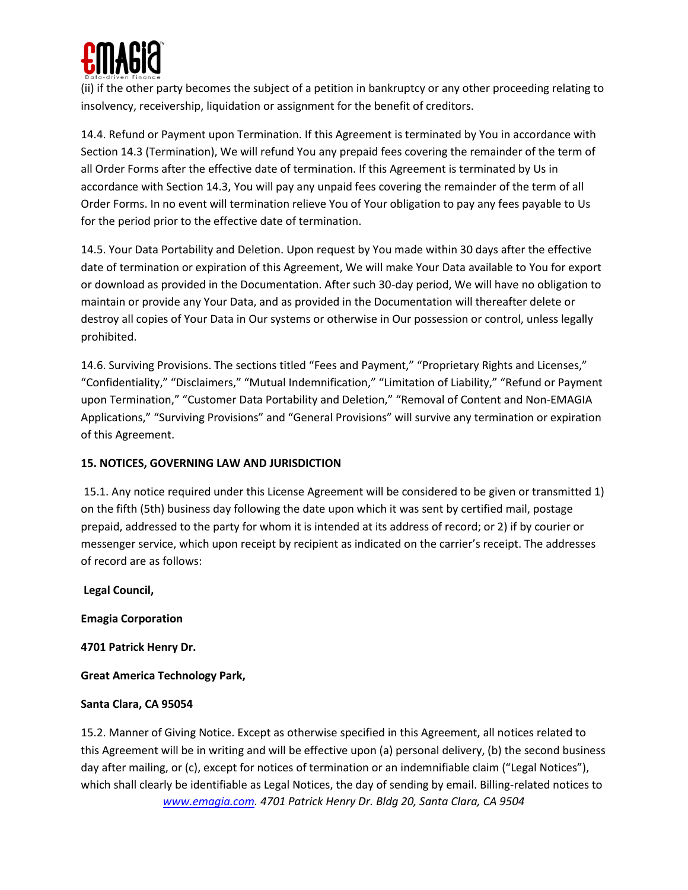

(ii) if the other party becomes the subject of a petition in bankruptcy or any other proceeding relating to insolvency, receivership, liquidation or assignment for the benefit of creditors.

14.4. Refund or Payment upon Termination. If this Agreement is terminated by You in accordance with Section 14.3 (Termination), We will refund You any prepaid fees covering the remainder of the term of all Order Forms after the effective date of termination. If this Agreement is terminated by Us in accordance with Section 14.3, You will pay any unpaid fees covering the remainder of the term of all Order Forms. In no event will termination relieve You of Your obligation to pay any fees payable to Us for the period prior to the effective date of termination.

14.5. Your Data Portability and Deletion. Upon request by You made within 30 days after the effective date of termination or expiration of this Agreement, We will make Your Data available to You for export or download as provided in the Documentation. After such 30-day period, We will have no obligation to maintain or provide any Your Data, and as provided in the Documentation will thereafter delete or destroy all copies of Your Data in Our systems or otherwise in Our possession or control, unless legally prohibited.

14.6. Surviving Provisions. The sections titled "Fees and Payment," "Proprietary Rights and Licenses," "Confidentiality," "Disclaimers," "Mutual Indemnification," "Limitation of Liability," "Refund or Payment upon Termination," "Customer Data Portability and Deletion," "Removal of Content and Non-EMAGIA Applications," "Surviving Provisions" and "General Provisions" will survive any termination or expiration of this Agreement.

# **15. NOTICES, GOVERNING LAW AND JURISDICTION**

15.1. Any notice required under this License Agreement will be considered to be given or transmitted 1) on the fifth (5th) business day following the date upon which it was sent by certified mail, postage prepaid, addressed to the party for whom it is intended at its address of record; or 2) if by courier or messenger service, which upon receipt by recipient as indicated on the carrier's receipt. The addresses of record are as follows:

**Legal Council,**

**Emagia Corporation**

**4701 Patrick Henry Dr.** 

**Great America Technology Park,** 

#### **Santa Clara, CA 95054**

*www.emagia.com. 4701 Patrick Henry Dr. Bldg 20, Santa Clara, CA 9504* 15.2. Manner of Giving Notice. Except as otherwise specified in this Agreement, all notices related to this Agreement will be in writing and will be effective upon (a) personal delivery, (b) the second business day after mailing, or (c), except for notices of termination or an indemnifiable claim ("Legal Notices"), which shall clearly be identifiable as Legal Notices, the day of sending by email. Billing-related notices to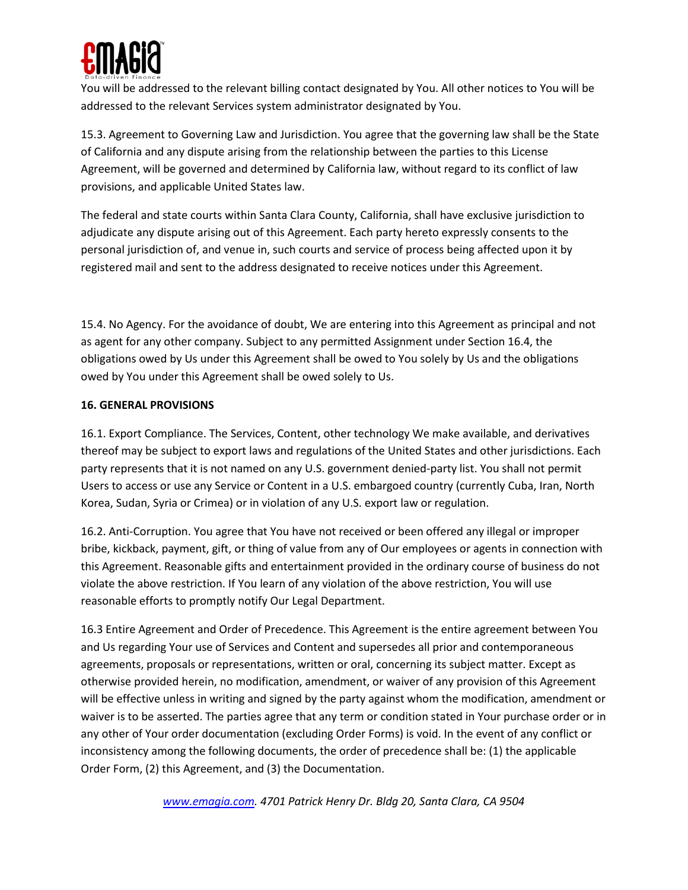

You will be addressed to the relevant billing contact designated by You. All other notices to You will be addressed to the relevant Services system administrator designated by You.

15.3. Agreement to Governing Law and Jurisdiction. You agree that the governing law shall be the State of California and any dispute arising from the relationship between the parties to this License Agreement, will be governed and determined by California law, without regard to its conflict of law provisions, and applicable United States law.

The federal and state courts within Santa Clara County, California, shall have exclusive jurisdiction to adjudicate any dispute arising out of this Agreement. Each party hereto expressly consents to the personal jurisdiction of, and venue in, such courts and service of process being affected upon it by registered mail and sent to the address designated to receive notices under this Agreement.

15.4. No Agency. For the avoidance of doubt, We are entering into this Agreement as principal and not as agent for any other company. Subject to any permitted Assignment under Section 16.4, the obligations owed by Us under this Agreement shall be owed to You solely by Us and the obligations owed by You under this Agreement shall be owed solely to Us.

### **16. GENERAL PROVISIONS**

16.1. Export Compliance. The Services, Content, other technology We make available, and derivatives thereof may be subject to export laws and regulations of the United States and other jurisdictions. Each party represents that it is not named on any U.S. government denied-party list. You shall not permit Users to access or use any Service or Content in a U.S. embargoed country (currently Cuba, Iran, North Korea, Sudan, Syria or Crimea) or in violation of any U.S. export law or regulation.

16.2. Anti-Corruption. You agree that You have not received or been offered any illegal or improper bribe, kickback, payment, gift, or thing of value from any of Our employees or agents in connection with this Agreement. Reasonable gifts and entertainment provided in the ordinary course of business do not violate the above restriction. If You learn of any violation of the above restriction, You will use reasonable efforts to promptly notify Our Legal Department.

16.3 Entire Agreement and Order of Precedence. This Agreement is the entire agreement between You and Us regarding Your use of Services and Content and supersedes all prior and contemporaneous agreements, proposals or representations, written or oral, concerning its subject matter. Except as otherwise provided herein, no modification, amendment, or waiver of any provision of this Agreement will be effective unless in writing and signed by the party against whom the modification, amendment or waiver is to be asserted. The parties agree that any term or condition stated in Your purchase order or in any other of Your order documentation (excluding Order Forms) is void. In the event of any conflict or inconsistency among the following documents, the order of precedence shall be: (1) the applicable Order Form, (2) this Agreement, and (3) the Documentation.